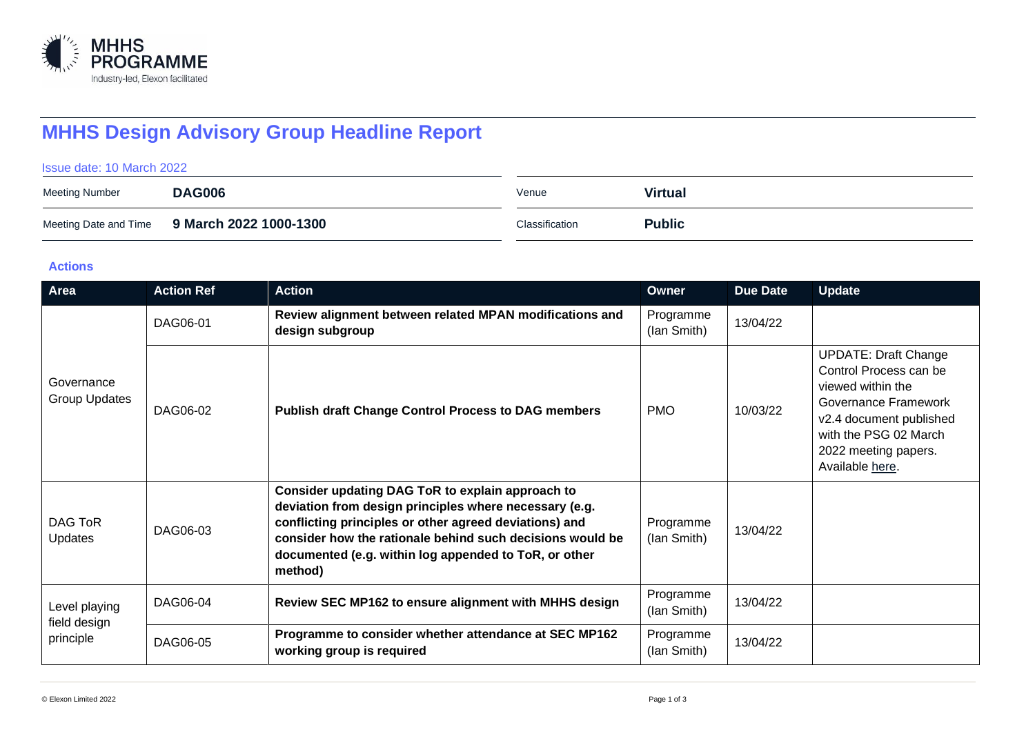

# **MHHS Design Advisory Group Headline Report**

#### Issue date: 10 March 2022

| Meeting Number | <b>DAG006</b>                                | Venue          | <b>Virtual</b> |
|----------------|----------------------------------------------|----------------|----------------|
|                | Meeting Date and Time 9 March 2022 1000-1300 | Classification | <b>Public</b>  |

#### **Actions**

| Area                                       | <b>Action Ref</b> | <b>Action</b>                                                                                                                                                                                                                                                                                         | Owner                    | <b>Due Date</b> | <b>Update</b>                                                                                                                                                                                     |
|--------------------------------------------|-------------------|-------------------------------------------------------------------------------------------------------------------------------------------------------------------------------------------------------------------------------------------------------------------------------------------------------|--------------------------|-----------------|---------------------------------------------------------------------------------------------------------------------------------------------------------------------------------------------------|
| Governance<br>Group Updates                | DAG06-01          | Review alignment between related MPAN modifications and<br>design subgroup                                                                                                                                                                                                                            | Programme<br>(lan Smith) | 13/04/22        |                                                                                                                                                                                                   |
|                                            | DAG06-02          | <b>Publish draft Change Control Process to DAG members</b>                                                                                                                                                                                                                                            | <b>PMO</b>               | 10/03/22        | <b>UPDATE: Draft Change</b><br>Control Process can be<br>viewed within the<br>Governance Framework<br>v2.4 document published<br>with the PSG 02 March<br>2022 meeting papers.<br>Available here. |
| DAG ToR<br><b>Updates</b>                  | DAG06-03          | Consider updating DAG ToR to explain approach to<br>deviation from design principles where necessary (e.g.<br>conflicting principles or other agreed deviations) and<br>consider how the rationale behind such decisions would be<br>documented (e.g. within log appended to ToR, or other<br>method) | Programme<br>(lan Smith) | 13/04/22        |                                                                                                                                                                                                   |
| Level playing<br>field design<br>principle | DAG06-04          | Review SEC MP162 to ensure alignment with MHHS design                                                                                                                                                                                                                                                 | Programme<br>(lan Smith) | 13/04/22        |                                                                                                                                                                                                   |
|                                            | DAG06-05          | Programme to consider whether attendance at SEC MP162<br>working group is required                                                                                                                                                                                                                    | Programme<br>(lan Smith) | 13/04/22        |                                                                                                                                                                                                   |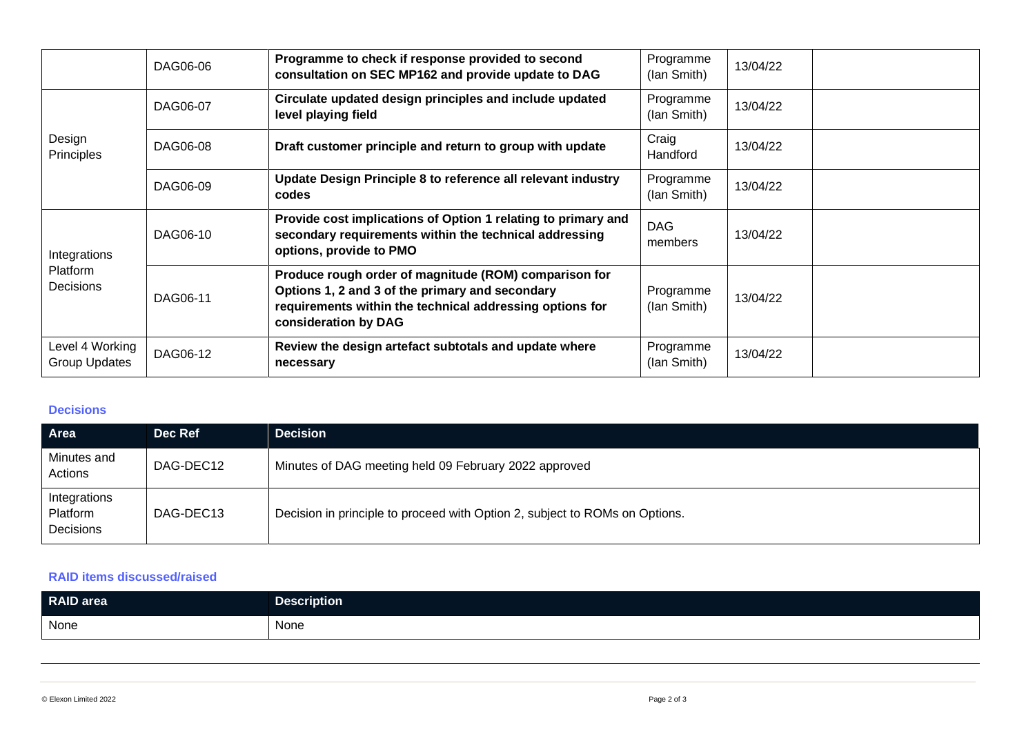|                                              | DAG06-06 | Programme to check if response provided to second<br>consultation on SEC MP162 and provide update to DAG                                                                                     | Programme<br>(lan Smith) | 13/04/22 |  |
|----------------------------------------------|----------|----------------------------------------------------------------------------------------------------------------------------------------------------------------------------------------------|--------------------------|----------|--|
| Design<br>Principles                         | DAG06-07 | Circulate updated design principles and include updated<br>level playing field                                                                                                               | Programme<br>(lan Smith) | 13/04/22 |  |
|                                              | DAG06-08 | Draft customer principle and return to group with update                                                                                                                                     | Craig<br>Handford        | 13/04/22 |  |
|                                              | DAG06-09 | Update Design Principle 8 to reference all relevant industry<br>codes                                                                                                                        | Programme<br>(lan Smith) | 13/04/22 |  |
| Integrations<br>Platform<br><b>Decisions</b> | DAG06-10 | Provide cost implications of Option 1 relating to primary and<br>secondary requirements within the technical addressing<br>options, provide to PMO                                           | <b>DAG</b><br>members    | 13/04/22 |  |
|                                              | DAG06-11 | Produce rough order of magnitude (ROM) comparison for<br>Options 1, 2 and 3 of the primary and secondary<br>requirements within the technical addressing options for<br>consideration by DAG | Programme<br>(lan Smith) | 13/04/22 |  |
| Level 4 Working<br>Group Updates             | DAG06-12 | Review the design artefact subtotals and update where<br>necessary                                                                                                                           | Programme<br>(lan Smith) | 13/04/22 |  |

#### **Decisions**

| Area                                  | Dec Ref   | <b>Decision</b>                                                             |
|---------------------------------------|-----------|-----------------------------------------------------------------------------|
| Minutes and<br>Actions                | DAG-DEC12 | Minutes of DAG meeting held 09 February 2022 approved                       |
| Integrations<br>Platform<br>Decisions | DAG-DEC13 | Decision in principle to proceed with Option 2, subject to ROMs on Options. |

### **RAID items discussed/raised**

| RAID area | <b>Description</b> |
|-----------|--------------------|
| None      | None               |